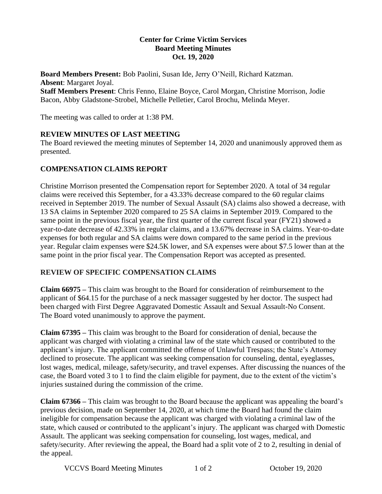#### **Center for Crime Victim Services Board Meeting Minutes Oct. 19, 2020**

**Board Members Present:** Bob Paolini, Susan Ide, Jerry O'Neill, Richard Katzman. **Absent**: Margaret Joyal. **Staff Members Present**: Chris Fenno, Elaine Boyce, Carol Morgan, Christine Morrison, Jodie Bacon, Abby Gladstone-Strobel, Michelle Pelletier, Carol Brochu, Melinda Meyer.

The meeting was called to order at 1:38 PM.

### **REVIEW MINUTES OF LAST MEETING**

The Board reviewed the meeting minutes of September 14, 2020 and unanimously approved them as presented.

## **COMPENSATION CLAIMS REPORT**

Christine Morrison presented the Compensation report for September 2020. A total of 34 regular claims were received this September, for a 43.33% decrease compared to the 60 regular claims received in September 2019. The number of Sexual Assault (SA) claims also showed a decrease, with 13 SA claims in September 2020 compared to 25 SA claims in September 2019. Compared to the same point in the previous fiscal year, the first quarter of the current fiscal year (FY21) showed a year-to-date decrease of 42.33% in regular claims, and a 13.67% decrease in SA claims. Year-to-date expenses for both regular and SA claims were down compared to the same period in the previous year. Regular claim expenses were \$24.5K lower, and SA expenses were about \$7.5 lower than at the same point in the prior fiscal year. The Compensation Report was accepted as presented.

#### **REVIEW OF SPECIFIC COMPENSATION CLAIMS**

**Claim 66975 –** This claim was brought to the Board for consideration of reimbursement to the applicant of \$64.15 for the purchase of a neck massager suggested by her doctor. The suspect had been charged with First Degree Aggravated Domestic Assault and Sexual Assault-No Consent. The Board voted unanimously to approve the payment.

**Claim 67395 –** This claim was brought to the Board for consideration of denial, because the applicant was charged with violating a criminal law of the state which caused or contributed to the applicant's injury. The applicant committed the offense of Unlawful Trespass; the State's Attorney declined to prosecute. The applicant was seeking compensation for counseling, dental, eyeglasses, lost wages, medical, mileage, safety/security, and travel expenses. After discussing the nuances of the case, the Board voted 3 to 1 to find the claim eligible for payment, due to the extent of the victim's injuries sustained during the commission of the crime.

**Claim 67366 –** This claim was brought to the Board because the applicant was appealing the board's previous decision, made on September 14, 2020, at which time the Board had found the claim ineligible for compensation because the applicant was charged with violating a criminal law of the state, which caused or contributed to the applicant's injury. The applicant was charged with Domestic Assault. The applicant was seeking compensation for counseling, lost wages, medical, and safety/security. After reviewing the appeal, the Board had a split vote of 2 to 2, resulting in denial of the appeal.

VCCVS Board Meeting Minutes 1 of 2 0ctober 19, 2020